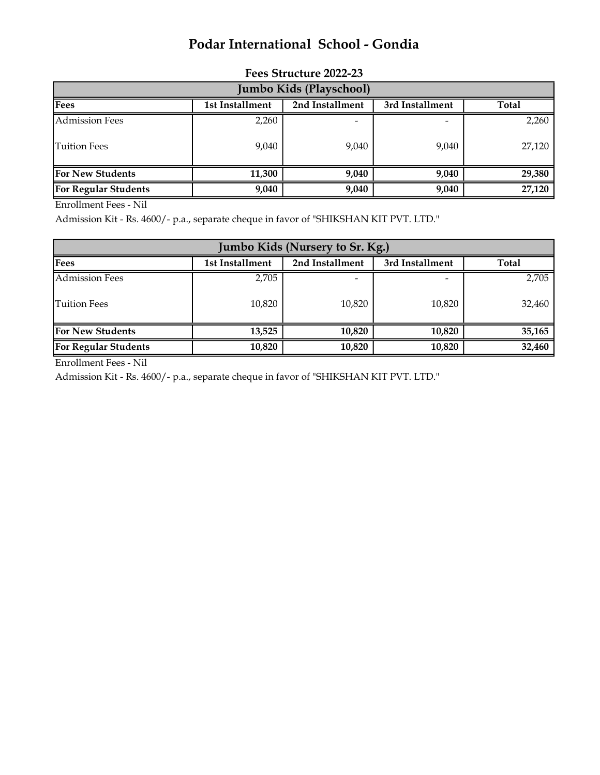## Podar International School - Gondia

| Jumbo Kids (Playschool)     |                 |                 |                 |        |  |
|-----------------------------|-----------------|-----------------|-----------------|--------|--|
| Fees                        | 1st Installment | 2nd Installment | 3rd Installment | Total  |  |
| <b>Admission Fees</b>       | 2,260           |                 |                 | 2,260  |  |
| <b>Tuition Fees</b>         | 9,040           | 9,040           | 9,040           | 27,120 |  |
| <b>For New Students</b>     | 11,300          | 9,040           | 9,040           | 29,380 |  |
| <b>For Regular Students</b> | 9,040           | 9,040           | 9,040           | 27,120 |  |

## Fees Structure 2022-23

Enrollment Fees - Nil

Admission Kit - Rs. 4600/- p.a., separate cheque in favor of "SHIKSHAN KIT PVT. LTD."

| Jumbo Kids (Nursery to Sr. Kg.) |                 |                 |                 |        |
|---------------------------------|-----------------|-----------------|-----------------|--------|
| Fees                            | 1st Installment | 2nd Installment | 3rd Installment | Total  |
| <b>Admission Fees</b>           | 2,705           |                 |                 | 2,705  |
| Tuition Fees                    | 10,820          | 10,820          | 10,820          | 32,460 |
| <b>For New Students</b>         | 13,525          | 10,820          | 10,820          | 35,165 |
| <b>For Regular Students</b>     | 10,820          | 10,820          | 10,820          | 32,460 |

Enrollment Fees - Nil

Admission Kit - Rs. 4600/- p.a., separate cheque in favor of "SHIKSHAN KIT PVT. LTD."